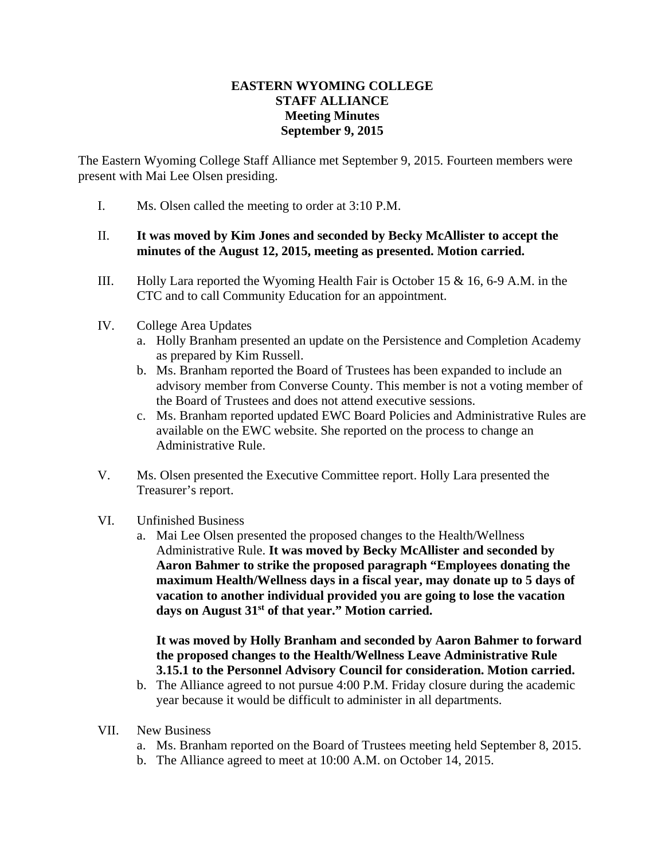## **EASTERN WYOMING COLLEGE STAFF ALLIANCE Meeting Minutes September 9, 2015**

The Eastern Wyoming College Staff Alliance met September 9, 2015. Fourteen members were present with Mai Lee Olsen presiding.

- I. Ms. Olsen called the meeting to order at 3:10 P.M.
- II. **It was moved by Kim Jones and seconded by Becky McAllister to accept the minutes of the August 12, 2015, meeting as presented. Motion carried.**
- III. Holly Lara reported the Wyoming Health Fair is October 15  $\&$  16, 6-9 A.M. in the CTC and to call Community Education for an appointment.
- IV. College Area Updates
	- a. Holly Branham presented an update on the Persistence and Completion Academy as prepared by Kim Russell.
	- b. Ms. Branham reported the Board of Trustees has been expanded to include an advisory member from Converse County. This member is not a voting member of the Board of Trustees and does not attend executive sessions.
	- c. Ms. Branham reported updated EWC Board Policies and Administrative Rules are available on the EWC website. She reported on the process to change an Administrative Rule.
- V. Ms. Olsen presented the Executive Committee report. Holly Lara presented the Treasurer's report.
- VI. Unfinished Business
	- a. Mai Lee Olsen presented the proposed changes to the Health/Wellness Administrative Rule. **It was moved by Becky McAllister and seconded by Aaron Bahmer to strike the proposed paragraph "Employees donating the maximum Health/Wellness days in a fiscal year, may donate up to 5 days of vacation to another individual provided you are going to lose the vacation days on August 31st of that year." Motion carried.**

## **It was moved by Holly Branham and seconded by Aaron Bahmer to forward the proposed changes to the Health/Wellness Leave Administrative Rule 3.15.1 to the Personnel Advisory Council for consideration. Motion carried.**

- b. The Alliance agreed to not pursue 4:00 P.M. Friday closure during the academic year because it would be difficult to administer in all departments.
- VII. New Business
	- a. Ms. Branham reported on the Board of Trustees meeting held September 8, 2015.
	- b. The Alliance agreed to meet at 10:00 A.M. on October 14, 2015.